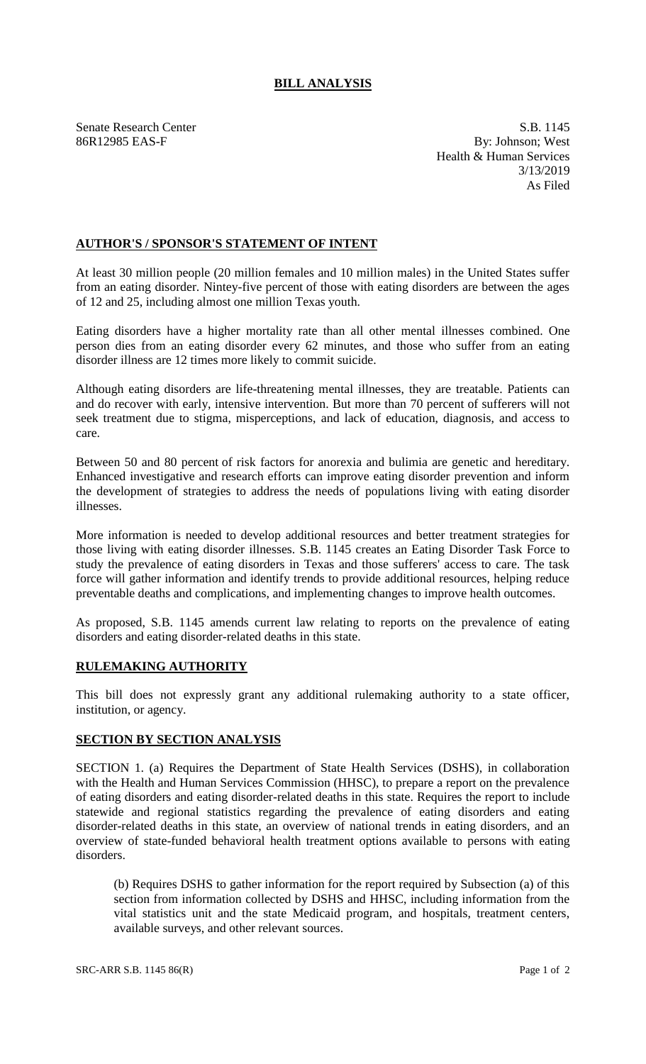## **BILL ANALYSIS**

Senate Research Center S.B. 1145 86R12985 EAS-F By: Johnson; West Health & Human Services 3/13/2019 As Filed

## **AUTHOR'S / SPONSOR'S STATEMENT OF INTENT**

At least 30 million people (20 million females and 10 million males) in the United States suffer from an eating disorder. Nintey-five percent of those with eating disorders are between the ages of 12 and 25, including almost one million Texas youth.

Eating disorders have a higher mortality rate than all other mental illnesses combined. One person dies from an eating disorder every 62 minutes, and those who suffer from an eating disorder illness are 12 times more likely to commit suicide.

Although eating disorders are life-threatening mental illnesses, they are treatable. Patients can and do recover with early, intensive intervention. But more than 70 percent of sufferers will not seek treatment due to stigma, misperceptions, and lack of education, diagnosis, and access to care.

Between 50 and 80 percent of risk factors for anorexia and bulimia are genetic and hereditary. Enhanced investigative and research efforts can improve eating disorder prevention and inform the development of strategies to address the needs of populations living with eating disorder illnesses.

More information is needed to develop additional resources and better treatment strategies for those living with eating disorder illnesses. S.B. 1145 creates an Eating Disorder Task Force to study the prevalence of eating disorders in Texas and those sufferers' access to care. The task force will gather information and identify trends to provide additional resources, helping reduce preventable deaths and complications, and implementing changes to improve health outcomes.

As proposed, S.B. 1145 amends current law relating to reports on the prevalence of eating disorders and eating disorder-related deaths in this state.

## **RULEMAKING AUTHORITY**

This bill does not expressly grant any additional rulemaking authority to a state officer, institution, or agency.

## **SECTION BY SECTION ANALYSIS**

SECTION 1. (a) Requires the Department of State Health Services (DSHS), in collaboration with the Health and Human Services Commission (HHSC), to prepare a report on the prevalence of eating disorders and eating disorder-related deaths in this state. Requires the report to include statewide and regional statistics regarding the prevalence of eating disorders and eating disorder-related deaths in this state, an overview of national trends in eating disorders, and an overview of state-funded behavioral health treatment options available to persons with eating disorders.

(b) Requires DSHS to gather information for the report required by Subsection (a) of this section from information collected by DSHS and HHSC, including information from the vital statistics unit and the state Medicaid program, and hospitals, treatment centers, available surveys, and other relevant sources.